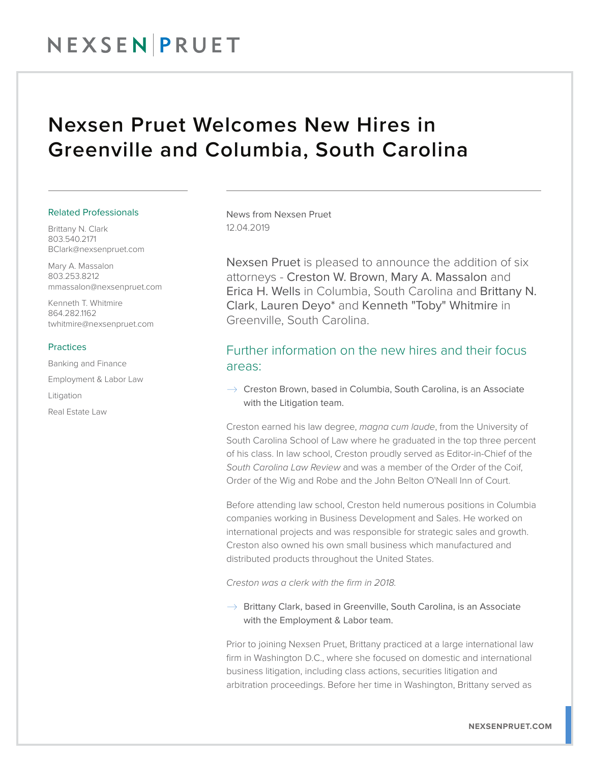# NEXSEN PRUET

# Nexsen Pruet Welcomes New Hires in Greenville and Columbia, South Carolina

### Related Professionals

Brittany N. Clark 803.540.2171 BClark@nexsenpruet.com

Mary A. Massalon 803.253.8212 mmassalon@nexsenpruet.com

Kenneth T. Whitmire 864.282.1162 twhitmire@nexsenpruet.com

#### Practices

Banking and Finance

Employment & Labor Law

Litigation

Real Estate Law

News from Nexsen Pruet 12.04.2019

Nexsen Pruet is pleased to announce the addition of six attorneys - Creston W. Brown, Mary A. Massalon and Erica H. Wells in Columbia, South Carolina and Brittany N. Clark, Lauren Deyo\* and Kenneth "Toby" Whitmire in Greenville, South Carolina.

# Further information on the new hires and their focus areas:

 $\rightarrow$  Creston Brown, based in Columbia, South Carolina, is an Associate with the Litigation team.

Creston earned his law degree, *magna cum laude*, from the University of South Carolina School of Law where he graduated in the top three percent of his class. In law school, Creston proudly served as Editor-in-Chief of the *South Carolina Law Review* and was a member of the Order of the Coif, Order of the Wig and Robe and the John Belton O'Neall Inn of Court.

Before attending law school, Creston held numerous positions in Columbia companies working in Business Development and Sales. He worked on international projects and was responsible for strategic sales and growth. Creston also owned his own small business which manufactured and distributed products throughout the United States.

*Creston was a clerk with the firm in 2018.*

 $\rightarrow$  Brittany Clark, based in Greenville, South Carolina, is an Associate with the Employment & Labor team.

Prior to joining Nexsen Pruet, Brittany practiced at a large international law firm in Washington D.C., where she focused on domestic and international business litigation, including class actions, securities litigation and arbitration proceedings. Before her time in Washington, Brittany served as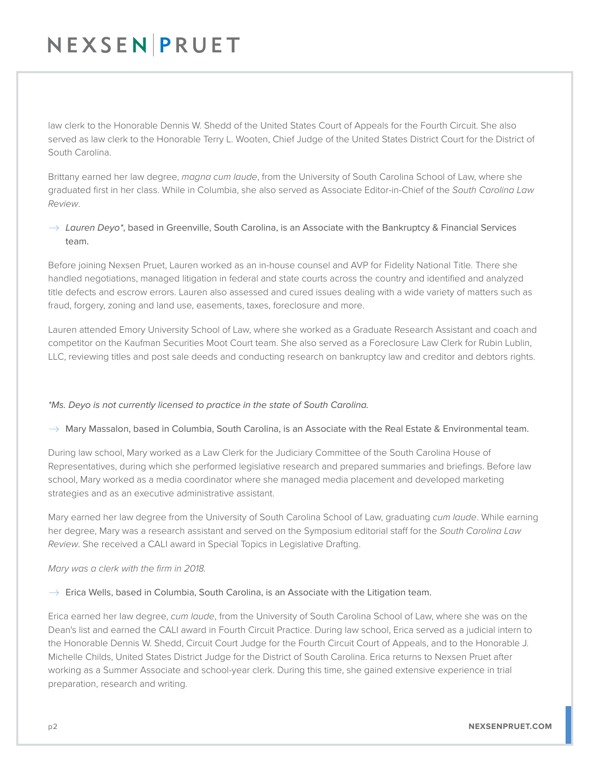# NEXSEN PRUET

law clerk to the Honorable Dennis W. Shedd of the United States Court of Appeals for the Fourth Circuit. She also served as law clerk to the Honorable Terry L. Wooten, Chief Judge of the United States District Court for the District of South Carolina.

Brittany earned her law degree, *magna cum laude*, from the University of South Carolina School of Law, where she graduated first in her class. While in Columbia, she also served as Associate Editor-in-Chief of the *South Carolina Law Review*.

# $\rightarrow$  Lauren Deyo\*, based in Greenville, South Carolina, is an Associate with the Bankruptcy & Financial Services team.

Before joining Nexsen Pruet, Lauren worked as an in-house counsel and AVP for Fidelity National Title. There she handled negotiations, managed litigation in federal and state courts across the country and identified and analyzed title defects and escrow errors. Lauren also assessed and cured issues dealing with a wide variety of matters such as fraud, forgery, zoning and land use, easements, taxes, foreclosure and more.

Lauren attended Emory University School of Law, where she worked as a Graduate Research Assistant and coach and competitor on the Kaufman Securities Moot Court team. She also served as a Foreclosure Law Clerk for Rubin Lublin, LLC, reviewing titles and post sale deeds and conducting research on bankruptcy law and creditor and debtors rights.

## *\*Ms. Deyo is not currently licensed to practice in the state of South Carolina.*

### $\rightarrow$  Mary Massalon, based in Columbia, South Carolina, is an Associate with the Real Estate & Environmental team.

During law school, Mary worked as a Law Clerk for the Judiciary Committee of the South Carolina House of Representatives, during which she performed legislative research and prepared summaries and briefings. Before law school, Mary worked as a media coordinator where she managed media placement and developed marketing strategies and as an executive administrative assistant.

Mary earned her law degree from the University of South Carolina School of Law, graduating *cum laude*. While earning her degree, Mary was a research assistant and served on the Symposium editorial staff for the *South Carolina Law Review*. She received a CALI award in Special Topics in Legislative Drafting.

### *Mary was a clerk with the firm in 2018.*

### $\rightarrow$  Erica Wells, based in Columbia, South Carolina, is an Associate with the Litigation team.

Erica earned her law degree, *cum laude*, from the University of South Carolina School of Law, where she was on the Dean's list and earned the CALI award in Fourth Circuit Practice. During law school, Erica served as a judicial intern to the Honorable Dennis W. Shedd, Circuit Court Judge for the Fourth Circuit Court of Appeals, and to the Honorable J. Michelle Childs, United States District Judge for the District of South Carolina. Erica returns to Nexsen Pruet after working as a Summer Associate and school-year clerk. During this time, she gained extensive experience in trial preparation, research and writing.